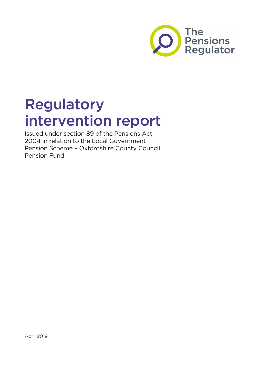

# Regulatory intervention report

Issued under section 89 of the Pensions Act 2004 in relation to the Local Government Pension Scheme – Oxfordshire County Council Pension Fund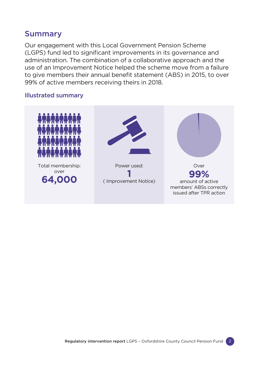#### Summary

Our engagement with this Local Government Pension Scheme (LGPS) fund led to significant improvements in its governance and administration. The combination of a collaborative approach and the use of an Improvement Notice helped the scheme move from a failure to give members their annual benefit statement (ABS) in 2015, to over 99% of active members receiving theirs in 2018.

#### Illustrated summary

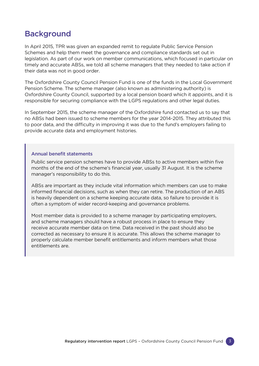## **Background**

In April 2015, TPR was given an expanded remit to regulate Public Service Pension Schemes and help them meet the governance and compliance standards set out in legislation. As part of our work on member communications, which focused in particular on timely and accurate ABSs, we told all scheme managers that they needed to take action if their data was not in good order.

The Oxfordshire County Council Pension Fund is one of the funds in the Local Government Pension Scheme. The scheme manager (also known as administering authority) is Oxfordshire County Council, supported by a local pension board which it appoints, and it is responsible for securing compliance with the LGPS regulations and other legal duties.

In September 2015, the scheme manager of the Oxfordshire fund contacted us to say that no ABSs had been issued to scheme members for the year 2014-2015. They attributed this to poor data, and the difficulty in improving it was due to the fund's employers failing to provide accurate data and employment histories.

#### Annual benefit statements

Public service pension schemes have to provide ABSs to active members within five months of the end of the scheme's financial year, usually 31 August. It is the scheme manager's responsibility to do this.

ABSs are important as they include vital information which members can use to make informed financial decisions, such as when they can retire. The production of an ABS is heavily dependent on a scheme keeping accurate data, so failure to provide it is often a symptom of wider record-keeping and governance problems.

Most member data is provided to a scheme manager by participating employers, and scheme managers should have a robust process in place to ensure they receive accurate member data on time. Data received in the past should also be corrected as necessary to ensure it is accurate. This allows the scheme manager to properly calculate member benefit entitlements and inform members what those entitlements are.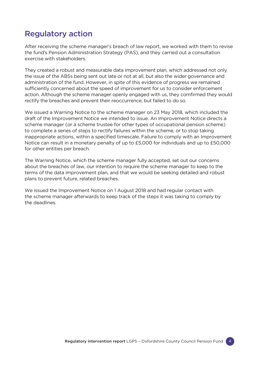## Regulatory action

After receiving the scheme manager's breach of law report, we worked with them to revise the fund's Pension Administration Strategy (PAS), and they carried out a consultation exercise with stakeholders.

They created a robust and measurable data improvement plan, which addressed not only the issue of the ABSs being sent out late or not at all, but also the wider governance and administration of the fund. However, in spite of this evidence of progress we remained sufficiently concerned about the speed of improvement for us to consider enforcement action. Although the scheme manager openly engaged with us, they comfirmed they would rectify the breaches and prevent their reoccurrence, but failed to do so.

We issued a Warning Notice to the scheme manager on 23 May 2018, which included the draft of the Improvement Notice we intended to issue. An Improvement Notice directs a scheme manager (or a scheme trustee for other types of occupational pension scheme) to complete a series of steps to rectify failures within the scheme, or to stop taking inappropriate actions, within a specified timescale. Failure to comply with an Improvement Notice can result in a monetary penalty of up to £5,000 for individuals and up to £50,000 for other entities per breach.

The Warning Notice, which the scheme manager fully accepted, set out our concerns about the breaches of law, our intention to require the scheme manager to keep to the terms of the data improvement plan, and that we would be seeking detailed and robust plans to prevent future, related breaches.

We issued the Improvement Notice on 1 August 2018 and had regular contact with the scheme manager afterwards to keep track of the steps it was taking to comply by the deadlines.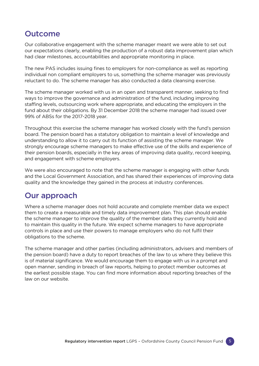#### **Outcome**

Our collaborative engagement with the scheme manager meant we were able to set out our expectations clearly, enabling the production of a robust data improvement plan which had clear milestones, accountabilities and appropriate monitoring in place.

The new PAS includes issuing fines to employers for non-compliance as well as reporting individual non compliant employers to us, something the scheme manager was previously reluctant to do. The scheme manager has also conducted a data cleansing exercise.

The scheme manager worked with us in an open and transparent manner, seeking to find ways to improve the governance and administration of the fund, including improving staffing levels, outsourcing work where appropriate, and educating the employers in the fund about their obligations. By 31 December 2018 the scheme manager had issued over 99% of ABSs for the 2017-2018 year.

Throughout this exercise the scheme manager has worked closely with the fund's pension board. The pension board has a statutory obligation to maintain a level of knowledge and understanding to allow it to carry out its function of assisting the scheme manager. We strongly encourage scheme managers to make effective use of the skills and experience of their pension boards, especially in the key areas of improving data quality, record keeping, and engagement with scheme employers.

We were also encouraged to note that the scheme manager is engaging with other funds and the Local Government Association, and has shared their experiences of improving data quality and the knowledge they gained in the process at industry conferences.

### Our approach

Where a scheme manager does not hold accurate and complete member data we expect them to create a measurable and timely data improvement plan. This plan should enable the scheme manager to improve the quality of the member data they currently hold and to maintain this quality in the future. We expect scheme managers to have appropriate controls in place and use their powers to manage employers who do not fulfil their obligations to the scheme.

The scheme manager and other parties (including administrators, advisers and members of the pension board) have a duty to report breaches of the law to us where they believe this is of material significance. We would encourage them to engage with us in a prompt and open manner, sending in breach of law reports, helping to protect member outcomes at the earliest possible stage. You can find more information about reporting breaches of the law [on our website](https://www.thepensionsregulator.gov.uk/en/public-service-pension-schemes/scheme-management/reporting-breaches-of-the-law).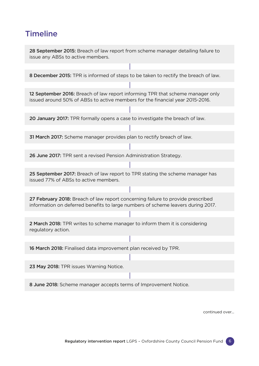## **Timeline**

28 September 2015: Breach of law report from scheme manager detailing failure to issue any ABSs to active members.

8 December 2015: TPR is informed of steps to be taken to rectify the breach of law.

12 September 2016: Breach of law report informing TPR that scheme manager only issued around 50% of ABSs to active members for the financial year 2015-2016.

20 January 2017: TPR formally opens a case to investigate the breach of law.

31 March 2017: Scheme manager provides plan to rectify breach of law.

26 June 2017: TPR sent a revised Pension Administration Strategy.

25 September 2017: Breach of law report to TPR stating the scheme manager has issued 77% of ABSs to active members.

27 February 2018: Breach of law report concerning failure to provide prescribed information on deferred benefits to large numbers of scheme leavers during 2017.

2 March 2018: TPR writes to scheme manager to inform them it is considering regulatory action.

16 March 2018: Finalised data improvement plan received by TPR.

23 May 2018: TPR issues Warning Notice.

8 June 2018: Scheme manager accepts terms of Improvement Notice.

continued over...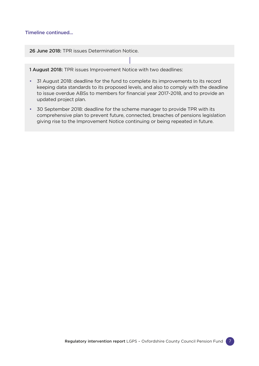#### Timeline continued...

26 June 2018: TPR issues Determination Notice.

1 August 2018: TPR issues Improvement Notice with two deadlines:

- 31 August 2018: deadline for the fund to complete its improvements to its record keeping data standards to its proposed levels, and also to comply with the deadline to issue overdue ABSs to members for financial year 2017-2018, and to provide an updated project plan.
- 30 September 2018: deadline for the scheme manager to provide TPR with its comprehensive plan to prevent future, connected, breaches of pensions legislation giving rise to the Improvement Notice continuing or being repeated in future.